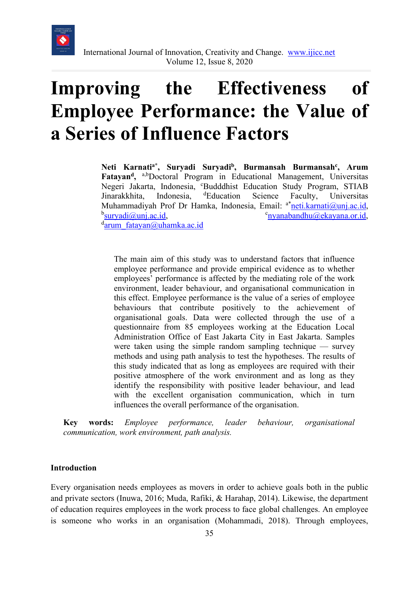

# **Improving the Effectiveness of Employee Performance: the Value of a Series of Influence Factors**

Neti Karnati<sup>a\*</sup>, Suryadi Suryadi<sup>b</sup>, Burmansah Burmansah<sup>c</sup>, Arum Fatayan<sup>d</sup>, <sup>a,b</sup>Doctoral Program in Educational Management, Universitas Negeri Jakarta, Indonesia, 'Budddhist Education Study Program, STIAB Jinarakkhita, Indonesia, <sup>d</sup>Education Science Faculty, Universitas Muhammadiyah Prof Dr Hamka, Indonesia, Email: <sup>a\*</sup><u>[neti.karnati@unj.ac.id,](mailto:neti.karnati@unj.ac.id)</u><br><sup>b</sup>survadi@uni.ac.id  $<sup>b</sup>$ suryadi $@$ unj.ac.id,</sup>  $c$ nyanabandhu $@e$ kayana.or.id,  $a<sup>d</sup>arum-fatavan@uhamka.ac.id$ 

The main aim of this study was to understand factors that influence employee performance and provide empirical evidence as to whether employees' performance is affected by the mediating role of the work environment, leader behaviour, and organisational communication in this effect. Employee performance is the value of a series of employee behaviours that contribute positively to the achievement of organisational goals. Data were collected through the use of a questionnaire from 85 employees working at the Education Local Administration Office of East Jakarta City in East Jakarta. Samples were taken using the simple random sampling technique — survey methods and using path analysis to test the hypotheses. The results of this study indicated that as long as employees are required with their positive atmosphere of the work environment and as long as they identify the responsibility with positive leader behaviour, and lead with the excellent organisation communication, which in turn influences the overall performance of the organisation.

**Key words:** *Employee performance, leader behaviour, organisational communication, work environment, path analysis.* 

#### **Introduction**

Every organisation needs employees as movers in order to achieve goals both in the public and private sectors (Inuwa, 2016; Muda, Rafiki, & Harahap, 2014). Likewise, the department of education requires employees in the work process to face global challenges. An employee is someone who works in an organisation (Mohammadi, 2018). Through employees,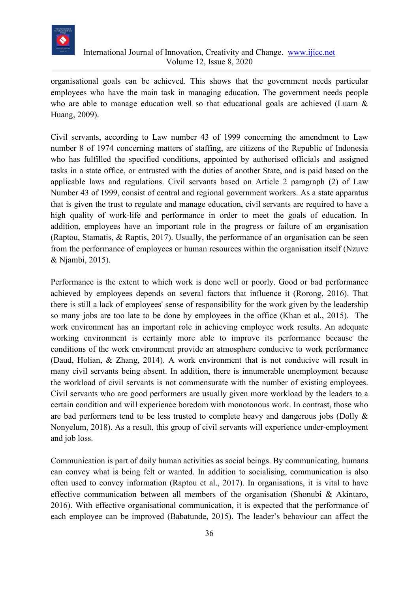

organisational goals can be achieved. This shows that the government needs particular employees who have the main task in managing education. The government needs people who are able to manage education well so that educational goals are achieved (Luarn & Huang, 2009).

Civil servants, according to Law number 43 of 1999 concerning the amendment to Law number 8 of 1974 concerning matters of staffing, are citizens of the Republic of Indonesia who has fulfilled the specified conditions, appointed by authorised officials and assigned tasks in a state office, or entrusted with the duties of another State, and is paid based on the applicable laws and regulations. Civil servants based on Article 2 paragraph (2) of Law Number 43 of 1999, consist of central and regional government workers. As a state apparatus that is given the trust to regulate and manage education, civil servants are required to have a high quality of work-life and performance in order to meet the goals of education. In addition, employees have an important role in the progress or failure of an organisation (Raptou, Stamatis, & Raptis, 2017). Usually, the performance of an organisation can be seen from the performance of employees or human resources within the organisation itself (Nzuve & Njambi, 2015).

Performance is the extent to which work is done well or poorly. Good or bad performance achieved by employees depends on several factors that influence it (Rorong, 2016). That there is still a lack of employees' sense of responsibility for the work given by the leadership so many jobs are too late to be done by employees in the office (Khan et al., 2015). The work environment has an important role in achieving employee work results. An adequate working environment is certainly more able to improve its performance because the conditions of the work environment provide an atmosphere conducive to work performance (Daud, Holian, & Zhang, 2014). A work environment that is not conducive will result in many civil servants being absent. In addition, there is innumerable unemployment because the workload of civil servants is not commensurate with the number of existing employees. Civil servants who are good performers are usually given more workload by the leaders to a certain condition and will experience boredom with monotonous work. In contrast, those who are bad performers tend to be less trusted to complete heavy and dangerous jobs (Dolly & Nonyelum, 2018). As a result, this group of civil servants will experience under-employment and job loss.

Communication is part of daily human activities as social beings. By communicating, humans can convey what is being felt or wanted. In addition to socialising, communication is also often used to convey information (Raptou et al., 2017). In organisations, it is vital to have effective communication between all members of the organisation (Shonubi & Akintaro, 2016). With effective organisational communication, it is expected that the performance of each employee can be improved (Babatunde, 2015). The leader's behaviour can affect the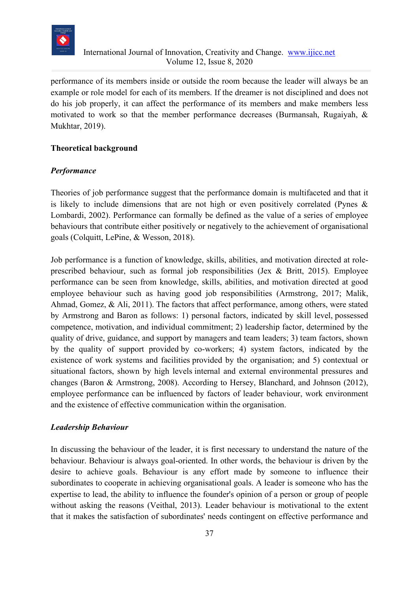

performance of its members inside or outside the room because the leader will always be an example or role model for each of its members. If the dreamer is not disciplined and does not do his job properly, it can affect the performance of its members and make members less motivated to work so that the member performance decreases (Burmansah, Rugaiyah, & Mukhtar, 2019).

#### **Theoretical background**

## *Performance*

Theories of job performance suggest that the performance domain is multifaceted and that it is likely to include dimensions that are not high or even positively correlated (Pynes & Lombardi, 2002). Performance can formally be defined as the value of a series of employee behaviours that contribute either positively or negatively to the achievement of organisational goals (Colquitt, LePine, & Wesson, 2018).

Job performance is a function of knowledge, skills, abilities, and motivation directed at roleprescribed behaviour, such as formal job responsibilities (Jex & Britt, 2015). Employee performance can be seen from knowledge, skills, abilities, and motivation directed at good employee behaviour such as having good job responsibilities (Armstrong, 2017; Malik, Ahmad, Gomez, & Ali, 2011). The factors that affect performance, among others, were stated by Armstrong and Baron as follows: 1) personal factors, indicated by skill level, possessed competence, motivation, and individual commitment; 2) leadership factor, determined by the quality of drive, guidance, and support by managers and team leaders; 3) team factors, shown by the quality of support provided by co-workers; 4) system factors, indicated by the existence of work systems and facilities provided by the organisation; and 5) contextual or situational factors, shown by high levels internal and external environmental pressures and changes (Baron & Armstrong, 2008). According to Hersey, Blanchard, and Johnson (2012), employee performance can be influenced by factors of leader behaviour, work environment and the existence of effective communication within the organisation.

## *Leadership Behaviour*

In discussing the behaviour of the leader, it is first necessary to understand the nature of the behaviour. Behaviour is always goal-oriented. In other words, the behaviour is driven by the desire to achieve goals. Behaviour is any effort made by someone to influence their subordinates to cooperate in achieving organisational goals. A leader is someone who has the expertise to lead, the ability to influence the founder's opinion of a person or group of people without asking the reasons (Veithal, 2013). Leader behaviour is motivational to the extent that it makes the satisfaction of subordinates' needs contingent on effective performance and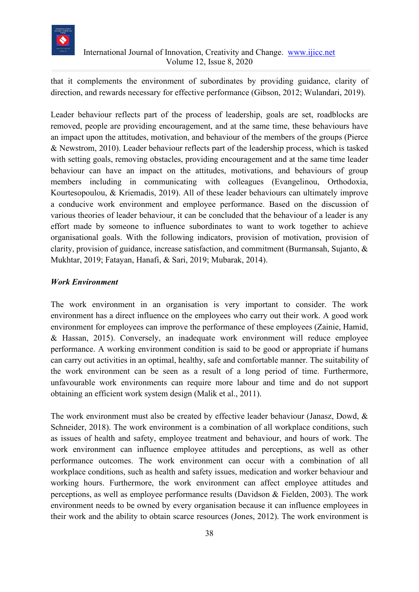

that it complements the environment of subordinates by providing guidance, clarity of direction, and rewards necessary for effective performance (Gibson, 2012; Wulandari, 2019).

Leader behaviour reflects part of the process of leadership, goals are set, roadblocks are removed, people are providing encouragement, and at the same time, these behaviours have an impact upon the attitudes, motivation, and behaviour of the members of the groups (Pierce & Newstrom, 2010). Leader behaviour reflects part of the leadership process, which is tasked with setting goals, removing obstacles, providing encouragement and at the same time leader behaviour can have an impact on the attitudes, motivations, and behaviours of group members including in communicating with colleagues (Evangelinou, Orthodoxia, Kourtesopoulou, & Kriemadis, 2019). All of these leader behaviours can ultimately improve a conducive work environment and employee performance. Based on the discussion of various theories of leader behaviour, it can be concluded that the behaviour of a leader is any effort made by someone to influence subordinates to want to work together to achieve organisational goals. With the following indicators, provision of motivation, provision of clarity, provision of guidance, increase satisfaction, and commitment (Burmansah, Sujanto, & Mukhtar, 2019; Fatayan, Hanafi, & Sari, 2019; Mubarak, 2014).

## *Work Environment*

The work environment in an organisation is very important to consider. The work environment has a direct influence on the employees who carry out their work. A good work environment for employees can improve the performance of these employees (Zainie, Hamid, & Hassan, 2015). Conversely, an inadequate work environment will reduce employee performance. A working environment condition is said to be good or appropriate if humans can carry out activities in an optimal, healthy, safe and comfortable manner. The suitability of the work environment can be seen as a result of a long period of time. Furthermore, unfavourable work environments can require more labour and time and do not support obtaining an efficient work system design (Malik et al., 2011).

The work environment must also be created by effective leader behaviour (Janasz, Dowd, & Schneider, 2018). The work environment is a combination of all workplace conditions, such as issues of health and safety, employee treatment and behaviour, and hours of work. The work environment can influence employee attitudes and perceptions, as well as other performance outcomes. The work environment can occur with a combination of all workplace conditions, such as health and safety issues, medication and worker behaviour and working hours. Furthermore, the work environment can affect employee attitudes and perceptions, as well as employee performance results (Davidson & Fielden, 2003). The work environment needs to be owned by every organisation because it can influence employees in their work and the ability to obtain scarce resources (Jones, 2012). The work environment is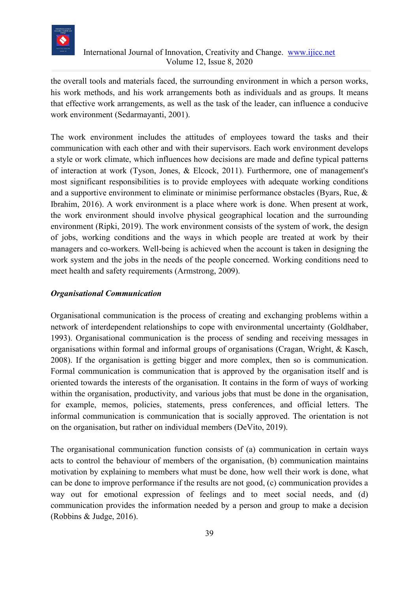

the overall tools and materials faced, the surrounding environment in which a person works, his work methods, and his work arrangements both as individuals and as groups. It means that effective work arrangements, as well as the task of the leader, can influence a conducive work environment (Sedarmayanti, 2001).

The work environment includes the attitudes of employees toward the tasks and their communication with each other and with their supervisors. Each work environment develops a style or work climate, which influences how decisions are made and define typical patterns of interaction at work (Tyson, Jones, & Elcock, 2011). Furthermore, one of management's most significant responsibilities is to provide employees with adequate working conditions and a supportive environment to eliminate or minimise performance obstacles (Byars, Rue, & Ibrahim, 2016). A work environment is a place where work is done. When present at work, the work environment should involve physical geographical location and the surrounding environment (Ripki, 2019). The work environment consists of the system of work, the design of jobs, working conditions and the ways in which people are treated at work by their managers and co-workers. Well-being is achieved when the account is taken in designing the work system and the jobs in the needs of the people concerned. Working conditions need to meet health and safety requirements (Armstrong, 2009).

## *Organisational Communication*

Organisational communication is the process of creating and exchanging problems within a network of interdependent relationships to cope with environmental uncertainty (Goldhaber, 1993). Organisational communication is the process of sending and receiving messages in organisations within formal and informal groups of organisations (Cragan, Wright, & Kasch, 2008). If the organisation is getting bigger and more complex, then so is communication. Formal communication is communication that is approved by the organisation itself and is oriented towards the interests of the organisation. It contains in the form of ways of working within the organisation, productivity, and various jobs that must be done in the organisation, for example, memos, policies, statements, press conferences, and official letters. The informal communication is communication that is socially approved. The orientation is not on the organisation, but rather on individual members (DeVito, 2019).

The organisational communication function consists of (a) communication in certain ways acts to control the behaviour of members of the organisation, (b) communication maintains motivation by explaining to members what must be done, how well their work is done, what can be done to improve performance if the results are not good, (c) communication provides a way out for emotional expression of feelings and to meet social needs, and (d) communication provides the information needed by a person and group to make a decision (Robbins & Judge, 2016).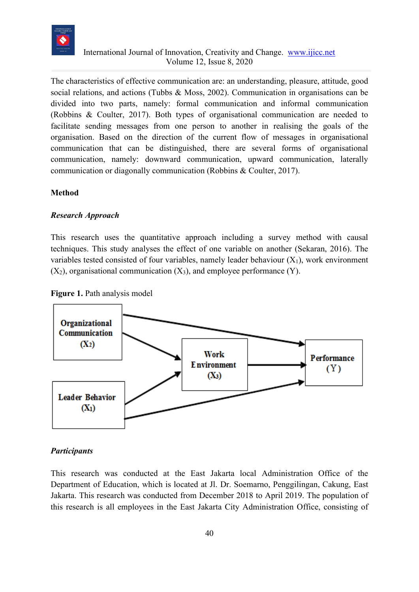

The characteristics of effective communication are: an understanding, pleasure, attitude, good social relations, and actions (Tubbs & Moss, 2002). Communication in organisations can be divided into two parts, namely: formal communication and informal communication (Robbins & Coulter, 2017). Both types of organisational communication are needed to facilitate sending messages from one person to another in realising the goals of the organisation. Based on the direction of the current flow of messages in organisational communication that can be distinguished, there are several forms of organisational communication, namely: downward communication, upward communication, laterally communication or diagonally communication (Robbins & Coulter, 2017).

#### **Method**

#### *Research Approach*

This research uses the quantitative approach including a survey method with causal techniques. This study analyses the effect of one variable on another (Sekaran, 2016). The variables tested consisted of four variables, namely leader behaviour  $(X_1)$ , work environment  $(X_2)$ , organisational communication  $(X_3)$ , and employee performance  $(Y)$ .





## *Participants*

This research was conducted at the East Jakarta local Administration Office of the Department of Education, which is located at Jl. Dr. Soemarno, Penggilingan, Cakung, East Jakarta. This research was conducted from December 2018 to April 2019. The population of this research is all employees in the East Jakarta City Administration Office, consisting of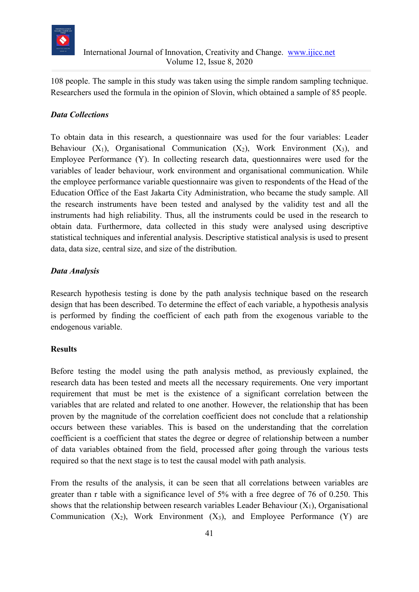

108 people. The sample in this study was taken using the simple random sampling technique. Researchers used the formula in the opinion of Slovin, which obtained a sample of 85 people.

# *Data Collections*

To obtain data in this research, a questionnaire was used for the four variables: Leader Behaviour  $(X_1)$ , Organisational Communication  $(X_2)$ , Work Environment  $(X_3)$ , and Employee Performance (Y). In collecting research data, questionnaires were used for the variables of leader behaviour, work environment and organisational communication. While the employee performance variable questionnaire was given to respondents of the Head of the Education Office of the East Jakarta City Administration, who became the study sample. All the research instruments have been tested and analysed by the validity test and all the instruments had high reliability. Thus, all the instruments could be used in the research to obtain data. Furthermore, data collected in this study were analysed using descriptive statistical techniques and inferential analysis. Descriptive statistical analysis is used to present data, data size, central size, and size of the distribution.

## *Data Analysis*

Research hypothesis testing is done by the path analysis technique based on the research design that has been described. To determine the effect of each variable, a hypothesis analysis is performed by finding the coefficient of each path from the exogenous variable to the endogenous variable.

## **Results**

Before testing the model using the path analysis method, as previously explained, the research data has been tested and meets all the necessary requirements. One very important requirement that must be met is the existence of a significant correlation between the variables that are related and related to one another. However, the relationship that has been proven by the magnitude of the correlation coefficient does not conclude that a relationship occurs between these variables. This is based on the understanding that the correlation coefficient is a coefficient that states the degree or degree of relationship between a number of data variables obtained from the field, processed after going through the various tests required so that the next stage is to test the causal model with path analysis.

From the results of the analysis, it can be seen that all correlations between variables are greater than r table with a significance level of 5% with a free degree of 76 of 0.250. This shows that the relationship between research variables Leader Behaviour  $(X_1)$ , Organisational Communication  $(X_2)$ , Work Environment  $(X_3)$ , and Employee Performance  $(Y)$  are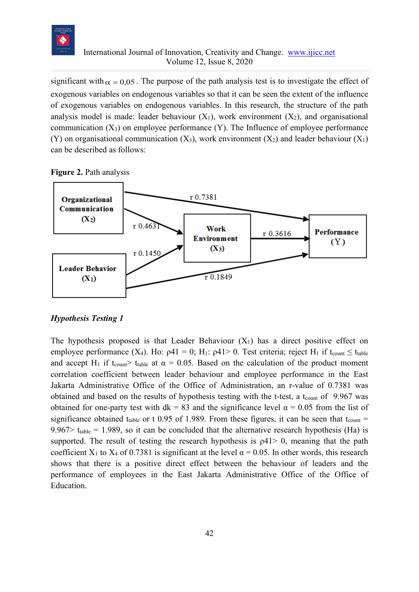

significant with  $\alpha = 0.05$ . The purpose of the path analysis test is to investigate the effect of exogenous variables on endogenous variables so that it can be seen the extent of the influence of exogenous variables on endogenous variables. In this research, the structure of the path analysis model is made: leader behaviour  $(X_1)$ , work environment  $(X_2)$ , and organisational communication  $(X_3)$  on employee performance  $(Y)$ . The Influence of employee performance (Y) on organisational communication  $(X_3)$ , work environment  $(X_2)$  and leader behaviour  $(X_1)$ can be described as follows:

**Figure 2.** Path analysis



#### *Hypothesis Testing 1*

The hypothesis proposed is that Leader Behaviour  $(X_1)$  has a direct positive effect on employee performance (X<sub>4</sub>). Ho:  $\rho$ 41 = 0; H<sub>1</sub>:  $\rho$ 41 > 0. Test criteria; reject H<sub>1</sub> if t<sub>count</sub>  $\leq$  t<sub>table</sub> and accept H<sub>1</sub> if t<sub>count</sub>> t<sub>table</sub> at  $\alpha = 0.05$ . Based on the calculation of the product moment correlation coefficient between leader behaviour and employee performance in the East Jakarta Administrative Office of the Office of Administration, an r-value of 0.7381 was obtained and based on the results of hypothesis testing with the t-test, a t<sub>count</sub> of 9.967 was obtained for one-party test with  $dk = 83$  and the significance level  $\alpha = 0.05$  from the list of significance obtained t<sub>table</sub> or t 0.95 of 1.989. From these figures, it can be seen that t<sub>count</sub> = 9.967> t<sub>table</sub> = 1.989, so it can be concluded that the alternative research hypothesis (Ha) is supported. The result of testing the research hypothesis is  $\rho$ 41 $>$  0, meaning that the path coefficient X<sub>1</sub> to X<sub>4</sub> of 0.7381 is significant at the level  $\alpha$  = 0.05. In other words, this research shows that there is a positive direct effect between the behaviour of leaders and the performance of employees in the East Jakarta Administrative Office of the Office of Education.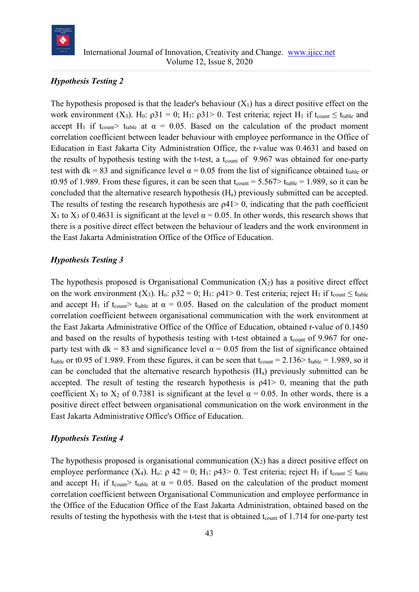

## *Hypothesis Testing 2*

The hypothesis proposed is that the leader's behaviour  $(X_1)$  has a direct positive effect on the work environment (X<sub>3</sub>). H<sub>0</sub>:  $\rho 31 = 0$ ; H<sub>1</sub>:  $\rho 31 > 0$ . Test criteria; reject H<sub>1</sub> if t<sub>count</sub>  $\leq$  t<sub>table</sub> and accept H<sub>1</sub> if t<sub>count</sub> t<sub>table</sub> at  $\alpha = 0.05$ . Based on the calculation of the product moment correlation coefficient between leader behaviour with employee performance in the Office of Education in East Jakarta City Administration Office, the r-value was 0.4631 and based on the results of hypothesis testing with the t-test, a t<sub>count</sub> of  $9.967$  was obtained for one-party test with dk = 83 and significance level  $\alpha$  = 0.05 from the list of significance obtained t<sub>table</sub> or t0.95 of 1.989. From these figures, it can be seen that  $t_{\text{count}} = 5.567 > t_{\text{table}} = 1.989$ , so it can be concluded that the alternative research hypothesis (Ha) previously submitted can be accepted. The results of testing the research hypothesis are  $\rho$ 41 $>$  0, indicating that the path coefficient X<sub>1</sub> to X<sub>3</sub> of 0.4631 is significant at the level  $\alpha$  = 0.05. In other words, this research shows that there is a positive direct effect between the behaviour of leaders and the work environment in the East Jakarta Administration Office of the Office of Education.

#### *Hypothesis Testing 3*

The hypothesis proposed is Organisational Communication  $(X_2)$  has a positive direct effect on the work environment  $(X_3)$ . H<sub>0</sub>:  $\rho 32 = 0$ ; H<sub>1</sub>:  $\rho 41 > 0$ . Test criteria; reject H<sub>1</sub> if t<sub>count</sub>  $\leq t_{\text{table}}$ and accept H<sub>1</sub> if t<sub>count</sub>> t<sub>table</sub> at  $\alpha = 0.05$ . Based on the calculation of the product moment correlation coefficient between organisational communication with the work environment at the East Jakarta Administrative Office of the Office of Education, obtained r-value of 0.1450 and based on the results of hypothesis testing with t-test obtained a t<sub>count</sub> of 9.967 for oneparty test with dk = 83 and significance level  $\alpha$  = 0.05 from the list of significance obtained t<sub>table</sub> or t0.95 of 1.989. From these figures, it can be seen that  $t_{\text{count}} = 2.136 > t_{\text{table}} = 1.989$ , so it can be concluded that the alternative research hypothesis  $(H_a)$  previously submitted can be accepted. The result of testing the research hypothesis is  $\rho$ 41 $>$  0, meaning that the path coefficient X<sub>3</sub> to X<sub>2</sub> of 0.7381 is significant at the level  $\alpha$  = 0.05. In other words, there is a positive direct effect between organisational communication on the work environment in the East Jakarta Administrative Office's Office of Education.

#### *Hypothesis Testing 4*

The hypothesis proposed is organisational communication  $(X_2)$  has a direct positive effect on employee performance  $(X_4)$ . H<sub>o</sub>:  $\rho$  42 = 0; H<sub>1</sub>:  $\rho$ 43> 0. Test criteria; reject H<sub>1</sub> if t<sub>count</sub>  $\leq$  t<sub>table</sub> and accept H<sub>1</sub> if t<sub>count</sub>> t<sub>table</sub> at  $\alpha = 0.05$ . Based on the calculation of the product moment correlation coefficient between Organisational Communication and employee performance in the Office of the Education Office of the East Jakarta Administration, obtained based on the results of testing the hypothesis with the t-test that is obtained  $t_{\text{count}}$  of 1.714 for one-party test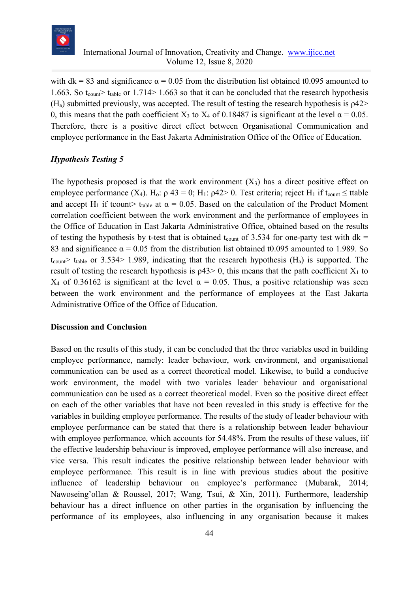

with dk = 83 and significance  $\alpha$  = 0.05 from the distribution list obtained t0.095 amounted to 1.663. So t<sub>count</sub> t<sub>table</sub> or 1.714 > 1.663 so that it can be concluded that the research hypothesis  $(H_a)$  submitted previously, was accepted. The result of testing the research hypothesis is  $\rho$ 42> 0, this means that the path coefficient  $X_3$  to  $X_4$  of 0.18487 is significant at the level  $\alpha = 0.05$ . Therefore, there is a positive direct effect between Organisational Communication and employee performance in the East Jakarta Administration Office of the Office of Education.

## *Hypothesis Testing 5*

The hypothesis proposed is that the work environment  $(X_3)$  has a direct positive effect on employee performance  $(X_4)$ . H<sub>0</sub>:  $\rho$  43 = 0; H<sub>1</sub>:  $\rho$ 42> 0. Test criteria; reject H<sub>1</sub> if t<sub>count</sub>  $\leq$  ttable and accept H<sub>1</sub> if tcount> t<sub>table</sub> at  $\alpha = 0.05$ . Based on the calculation of the Product Moment correlation coefficient between the work environment and the performance of employees in the Office of Education in East Jakarta Administrative Office, obtained based on the results of testing the hypothesis by t-test that is obtained t<sub>count</sub> of 3.534 for one-party test with  $dk =$ 83 and significance  $\alpha = 0.05$  from the distribution list obtained t0.095 amounted to 1.989. So  $t_{\text{count}}$  t<sub>table</sub> or 3.534 1.989, indicating that the research hypothesis (H<sub>a</sub>) is supported. The result of testing the research hypothesis is  $\rho$ 43> 0, this means that the path coefficient  $X_1$  to X<sub>4</sub> of 0.36162 is significant at the level  $\alpha$  = 0.05. Thus, a positive relationship was seen between the work environment and the performance of employees at the East Jakarta Administrative Office of the Office of Education.

#### **Discussion and Conclusion**

Based on the results of this study, it can be concluded that the three variables used in building employee performance, namely: leader behaviour, work environment, and organisational communication can be used as a correct theoretical model. Likewise, to build a conducive work environment, the model with two variales leader behaviour and organisational communication can be used as a correct theoretical model. Even so the positive direct effect on each of the other variables that have not been revealed in this study is effective for the variables in building employee performance. The results of the study of leader behaviour with employee performance can be stated that there is a relationship between leader behaviour with employee performance, which accounts for 54.48%. From the results of these values, iif the effective leadership behaviour is improved, employee performance will also increase, and vice versa. This result indicates the positive relationship between leader behaviour with employee performance. This result is in line with previous studies about the positive influence of leadership behaviour on employee's performance (Mubarak, 2014; Nawoseing'ollan & Roussel, 2017; Wang, Tsui, & Xin, 2011). Furthermore, leadership behaviour has a direct influence on other parties in the organisation by influencing the performance of its employees, also influencing in any organisation because it makes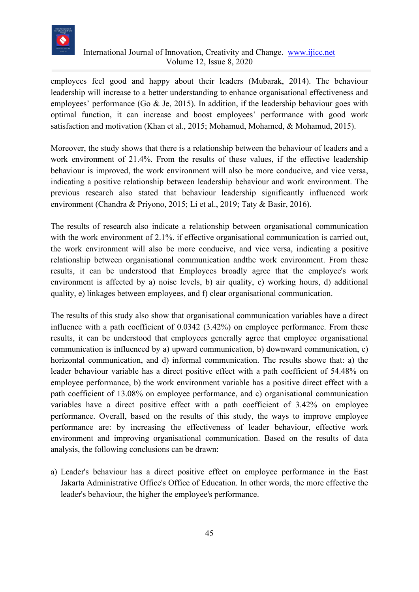

employees feel good and happy about their leaders (Mubarak, 2014). The behaviour leadership will increase to a better understanding to enhance organisational effectiveness and employees' performance (Go & Je, 2015). In addition, if the leadership behaviour goes with optimal function, it can increase and boost employees' performance with good work satisfaction and motivation (Khan et al., 2015; Mohamud, Mohamed, & Mohamud, 2015).

Moreover, the study shows that there is a relationship between the behaviour of leaders and a work environment of 21.4%. From the results of these values, if the effective leadership behaviour is improved, the work environment will also be more conducive, and vice versa, indicating a positive relationship between leadership behaviour and work environment. The previous research also stated that behaviour leadership significantly influenced work environment (Chandra & Priyono, 2015; Li et al., 2019; Taty & Basir, 2016).

The results of research also indicate a relationship between organisational communication with the work environment of 2.1%. if effective organisational communication is carried out, the work environment will also be more conducive, and vice versa, indicating a positive relationship between organisational communication andthe work environment. From these results, it can be understood that Employees broadly agree that the employee's work environment is affected by a) noise levels, b) air quality, c) working hours, d) additional quality, e) linkages between employees, and f) clear organisational communication.

The results of this study also show that organisational communication variables have a direct influence with a path coefficient of 0.0342 (3.42%) on employee performance. From these results, it can be understood that employees generally agree that employee organisational communication is influenced by a) upward communication, b) downward communication, c) horizontal communication, and d) informal communication. The results showe that: a) the leader behaviour variable has a direct positive effect with a path coefficient of 54.48% on employee performance, b) the work environment variable has a positive direct effect with a path coefficient of 13.08% on employee performance, and c) organisational communication variables have a direct positive effect with a path coefficient of 3.42% on employee performance. Overall, based on the results of this study, the ways to improve employee performance are: by increasing the effectiveness of leader behaviour, effective work environment and improving organisational communication. Based on the results of data analysis, the following conclusions can be drawn:

a) Leader's behaviour has a direct positive effect on employee performance in the East Jakarta Administrative Office's Office of Education. In other words, the more effective the leader's behaviour, the higher the employee's performance.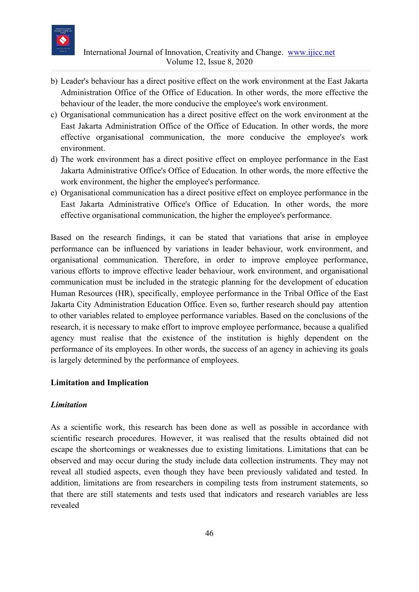

- b) Leader's behaviour has a direct positive effect on the work environment at the East Jakarta Administration Office of the Office of Education. In other words, the more effective the behaviour of the leader, the more conducive the employee's work environment.
- c) Organisational communication has a direct positive effect on the work environment at the East Jakarta Administration Office of the Office of Education. In other words, the more effective organisational communication, the more conducive the employee's work environment.
- d) The work environment has a direct positive effect on employee performance in the East Jakarta Administrative Office's Office of Education. In other words, the more effective the work environment, the higher the employee's performance.
- e) Organisational communication has a direct positive effect on employee performance in the East Jakarta Administrative Office's Office of Education. In other words, the more effective organisational communication, the higher the employee's performance.

Based on the research findings, it can be stated that variations that arise in employee performance can be influenced by variations in leader behaviour, work environment, and organisational communication. Therefore, in order to improve employee performance, various efforts to improve effective leader behaviour, work environment, and organisational communication must be included in the strategic planning for the development of education Human Resources (HR), specifically, employee performance in the Tribal Office of the East Jakarta City Administration Education Office. Even so, further research should pay attention to other variables related to employee performance variables. Based on the conclusions of the research, it is necessary to make effort to improve employee performance, because a qualified agency must realise that the existence of the institution is highly dependent on the performance of its employees. In other words, the success of an agency in achieving its goals is largely determined by the performance of employees.

## **Limitation and Implication**

#### *Limitation*

As a scientific work, this research has been done as well as possible in accordance with scientific research procedures. However, it was realised that the results obtained did not escape the shortcomings or weaknesses due to existing limitations. Limitations that can be observed and may occur during the study include data collection instruments. They may not reveal all studied aspects, even though they have been previously validated and tested. In addition, limitations are from researchers in compiling tests from instrument statements, so that there are still statements and tests used that indicators and research variables are less revealed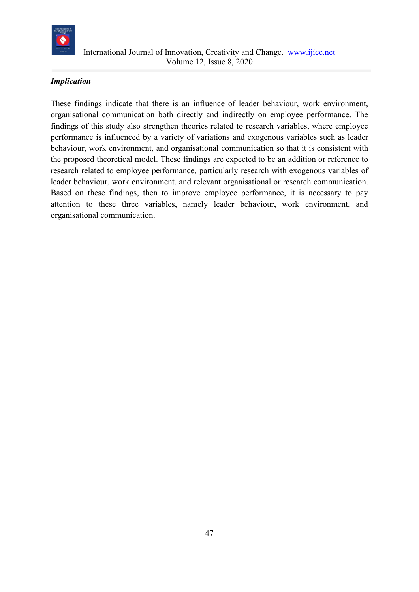

# *Implication*

These findings indicate that there is an influence of leader behaviour, work environment, organisational communication both directly and indirectly on employee performance. The findings of this study also strengthen theories related to research variables, where employee performance is influenced by a variety of variations and exogenous variables such as leader behaviour, work environment, and organisational communication so that it is consistent with the proposed theoretical model. These findings are expected to be an addition or reference to research related to employee performance, particularly research with exogenous variables of leader behaviour, work environment, and relevant organisational or research communication. Based on these findings, then to improve employee performance, it is necessary to pay attention to these three variables, namely leader behaviour, work environment, and organisational communication.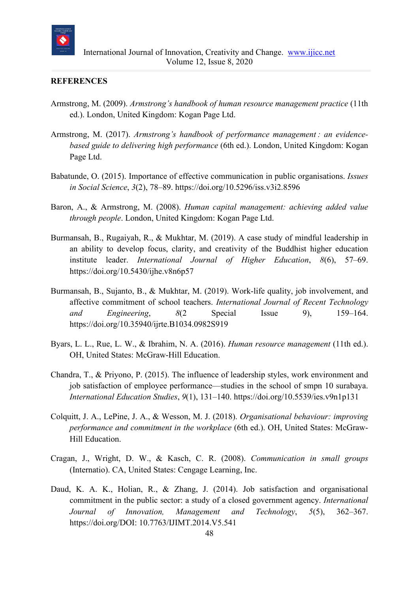

#### **REFERENCES**

- Armstrong, M. (2009). *Armstrong's handbook of human resource management practice* (11th ed.). London, United Kingdom: Kogan Page Ltd.
- Armstrong, M. (2017). *Armstrong's handbook of performance management : an evidencebased guide to delivering high performance* (6th ed.). London, United Kingdom: Kogan Page Ltd.
- Babatunde, O. (2015). Importance of effective communication in public organisations. *Issues in Social Science*, *3*(2), 78–89. https://doi.org/10.5296/iss.v3i2.8596
- Baron, A., & Armstrong, M. (2008). *Human capital management: achieving added value through people*. London, United Kingdom: Kogan Page Ltd.
- Burmansah, B., Rugaiyah, R., & Mukhtar, M. (2019). A case study of mindful leadership in an ability to develop focus, clarity, and creativity of the Buddhist higher education institute leader. *International Journal of Higher Education*, *8*(6), 57–69. https://doi.org/10.5430/ijhe.v8n6p57
- Burmansah, B., Sujanto, B., & Mukhtar, M. (2019). Work-life quality, job involvement, and affective commitment of school teachers. *International Journal of Recent Technology and Engineering*, *8*(2 Special Issue 9), 159–164. https://doi.org/10.35940/ijrte.B1034.0982S919
- Byars, L. L., Rue, L. W., & Ibrahim, N. A. (2016). *Human resource management* (11th ed.). OH, United States: McGraw-Hill Education.
- Chandra, T., & Priyono, P. (2015). The influence of leadership styles, work environment and job satisfaction of employee performance—studies in the school of smpn 10 surabaya. *International Education Studies*, *9*(1), 131–140. https://doi.org/10.5539/ies.v9n1p131
- Colquitt, J. A., LePine, J. A., & Wesson, M. J. (2018). *Organisational behaviour: improving performance and commitment in the workplace* (6th ed.). OH, United States: McGraw-Hill Education.
- Cragan, J., Wright, D. W., & Kasch, C. R. (2008). *Communication in small groups* (Internatio). CA, United States: Cengage Learning, Inc.
- Daud, K. A. K., Holian, R., & Zhang, J. (2014). Job satisfaction and organisational commitment in the public sector: a study of a closed government agency. *International Journal of Innovation, Management and Technology*, *5*(5), 362–367. https://doi.org/DOI: 10.7763/IJIMT.2014.V5.541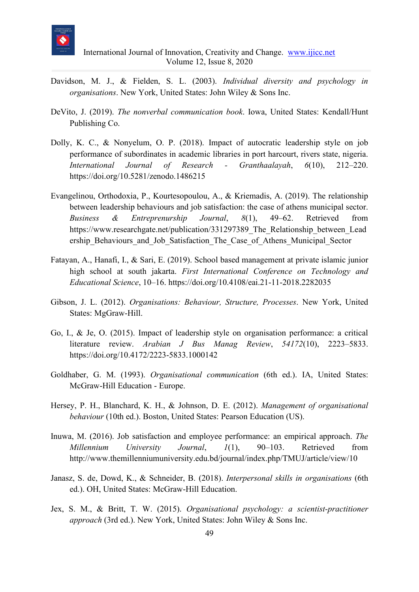

- Davidson, M. J., & Fielden, S. L. (2003). *Individual diversity and psychology in organisations*. New York, United States: John Wiley & Sons Inc.
- DeVito, J. (2019). *The nonverbal communication book*. Iowa, United States: Kendall/Hunt Publishing Co.
- Dolly, K. C., & Nonyelum, O. P. (2018). Impact of autocratic leadership style on job performance of subordinates in academic libraries in port harcourt, rivers state, nigeria. *International Journal of Research - Granthaalayah*, *6*(10), 212–220. https://doi.org/10.5281/zenodo.1486215
- Evangelinou, Orthodoxia, P., Kourtesopoulou, A., & Kriemadis, A. (2019). The relationship between leadership behaviours and job satisfaction: the case of athens municipal sector. *Business & Entreprenurship Journal*, *8*(1), 49–62. Retrieved from https://www.researchgate.net/publication/331297389 The Relationship between Lead ership\_Behaviours\_and\_Job\_Satisfaction\_The\_Case\_of\_Athens\_Municipal\_Sector
- Fatayan, A., Hanafi, I., & Sari, E. (2019). School based management at private islamic junior high school at south jakarta. *First International Conference on Technology and Educational Science*, 10–16. https://doi.org/10.4108/eai.21-11-2018.2282035
- Gibson, J. L. (2012). *Organisations: Behaviour, Structure, Processes*. New York, United States: MgGraw-Hill.
- Go, I., & Je, O. (2015). Impact of leadership style on organisation performance: a critical literature review. *Arabian J Bus Manag Review*, *54172*(10), 2223–5833. https://doi.org/10.4172/2223-5833.1000142
- Goldhaber, G. M. (1993). *Organisational communication* (6th ed.). IA, United States: McGraw-Hill Education - Europe.
- Hersey, P. H., Blanchard, K. H., & Johnson, D. E. (2012). *Management of organisational behaviour* (10th ed.). Boston, United States: Pearson Education (US).
- Inuwa, M. (2016). Job satisfaction and employee performance: an empirical approach. *The Millennium University Journal*, *1*(1), 90–103. Retrieved from http://www.themillenniumuniversity.edu.bd/journal/index.php/TMUJ/article/view/10
- Janasz, S. de, Dowd, K., & Schneider, B. (2018). *Interpersonal skills in organisations* (6th ed.). OH, United States: McGraw-Hill Education.
- Jex, S. M., & Britt, T. W. (2015). *Organisational psychology: a scientist-practitioner approach* (3rd ed.). New York, United States: John Wiley & Sons Inc.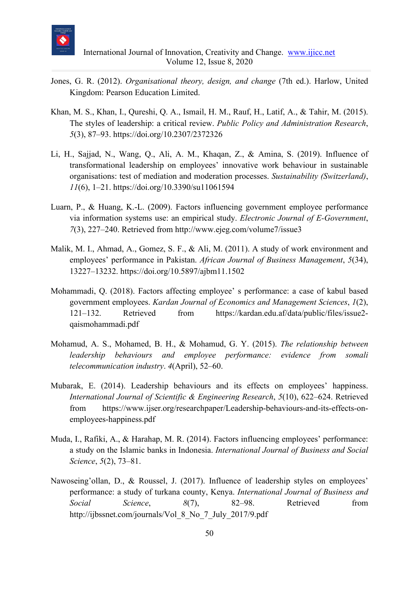

- Jones, G. R. (2012). *Organisational theory, design, and change* (7th ed.). Harlow, United Kingdom: Pearson Education Limited.
- Khan, M. S., Khan, I., Qureshi, Q. A., Ismail, H. M., Rauf, H., Latif, A., & Tahir, M. (2015). The styles of leadership: a critical review. *Public Policy and Administration Research*, *5*(3), 87–93. https://doi.org/10.2307/2372326
- Li, H., Sajjad, N., Wang, Q., Ali, A. M., Khaqan, Z., & Amina, S. (2019). Influence of transformational leadership on employees' innovative work behaviour in sustainable organisations: test of mediation and moderation processes. *Sustainability (Switzerland)*, *11*(6), 1–21. https://doi.org/10.3390/su11061594
- Luarn, P., & Huang, K.-L. (2009). Factors influencing government employee performance via information systems use: an empirical study. *Electronic Journal of E-Government*, *7*(3), 227–240. Retrieved from http://www.ejeg.com/volume7/issue3
- Malik, M. I., Ahmad, A., Gomez, S. F., & Ali, M. (2011). A study of work environment and employees' performance in Pakistan. *African Journal of Business Management*, *5*(34), 13227–13232. https://doi.org/10.5897/ajbm11.1502
- Mohammadi, Q. (2018). Factors affecting employee' s performance: a case of kabul based government employees. *Kardan Journal of Economics and Management Sciences*, *1*(2), 121–132. Retrieved from https://kardan.edu.af/data/public/files/issue2 qaismohammadi.pdf
- Mohamud, A. S., Mohamed, B. H., & Mohamud, G. Y. (2015). *The relationship between leadership behaviours and employee performance: evidence from somali telecommunication industry*. *4*(April), 52–60.
- Mubarak, E. (2014). Leadership behaviours and its effects on employees' happiness. *International Journal of Scientific & Engineering Research*, *5*(10), 622–624. Retrieved from https://www.ijser.org/researchpaper/Leadership-behaviours-and-its-effects-onemployees-happiness.pdf
- Muda, I., Rafiki, A., & Harahap, M. R. (2014). Factors influencing employees' performance: a study on the Islamic banks in Indonesia. *International Journal of Business and Social Science*, *5*(2), 73–81.
- Nawoseing'ollan, D., & Roussel, J. (2017). Influence of leadership styles on employees' performance: a study of turkana county, Kenya. *International Journal of Business and Social Science*, *8*(7), 82–98. Retrieved from http://ijbssnet.com/journals/Vol\_8\_No\_7\_July\_2017/9.pdf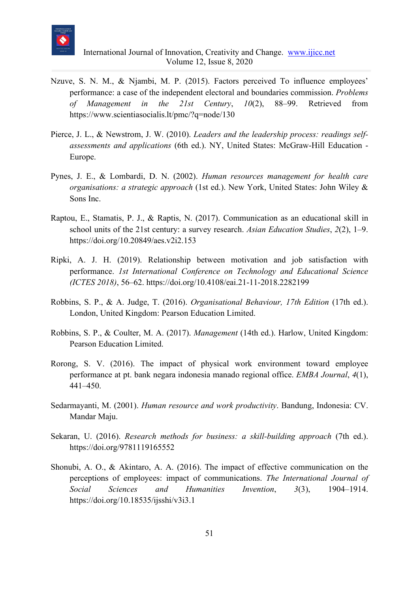

- Nzuve, S. N. M., & Njambi, M. P. (2015). Factors perceived To influence employees' performance: a case of the independent electoral and boundaries commission. *Problems of Management in the 21st Century*, *10*(2), 88–99. Retrieved from https://www.scientiasocialis.lt/pmc/?q=node/130
- Pierce, J. L., & Newstrom, J. W. (2010). *Leaders and the leadership process: readings selfassessments and applications* (6th ed.). NY, United States: McGraw-Hill Education - Europe.
- Pynes, J. E., & Lombardi, D. N. (2002). *Human resources management for health care organisations: a strategic approach* (1st ed.). New York, United States: John Wiley & Sons Inc.
- Raptou, E., Stamatis, P. J., & Raptis, N. (2017). Communication as an educational skill in school units of the 21st century: a survey research. *Asian Education Studies*, *2*(2), 1–9. https://doi.org/10.20849/aes.v2i2.153
- Ripki, A. J. H. (2019). Relationship between motivation and job satisfaction with performance. *1st International Conference on Technology and Educational Science (ICTES 2018)*, 56–62. https://doi.org/10.4108/eai.21-11-2018.2282199
- Robbins, S. P., & A. Judge, T. (2016). *Organisational Behaviour, 17th Edition* (17th ed.). London, United Kingdom: Pearson Education Limited.
- Robbins, S. P., & Coulter, M. A. (2017). *Management* (14th ed.). Harlow, United Kingdom: Pearson Education Limited.
- Rorong, S. V. (2016). The impact of physical work environment toward employee performance at pt. bank negara indonesia manado regional office. *EMBA Journal*, *4*(1), 441–450.
- Sedarmayanti, M. (2001). *Human resource and work productivity*. Bandung, Indonesia: CV. Mandar Maju.
- Sekaran, U. (2016). *Research methods for business: a skill-building approach* (7th ed.). https://doi.org/9781119165552
- Shonubi, A. O., & Akintaro, A. A. (2016). The impact of effective communication on the perceptions of employees: impact of communications. *The International Journal of Social Sciences and Humanities Invention*, *3*(3), 1904–1914. https://doi.org/10.18535/ijsshi/v3i3.1